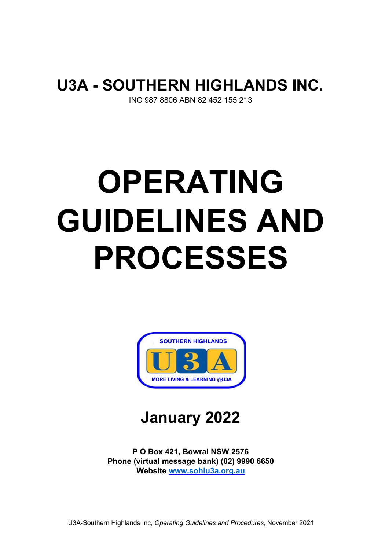# **U3A - SOUTHERN HIGHLANDS INC.**

INC 987 8806 ABN 82 452 155 213

# **OPERATING GUIDELINES AND PROCESSES**



**January 2022** 

**P O Box 421, Bowral NSW 2576 Phone (virtual message bank) (02) 9990 6650 Website www.sohiu3a.org.au**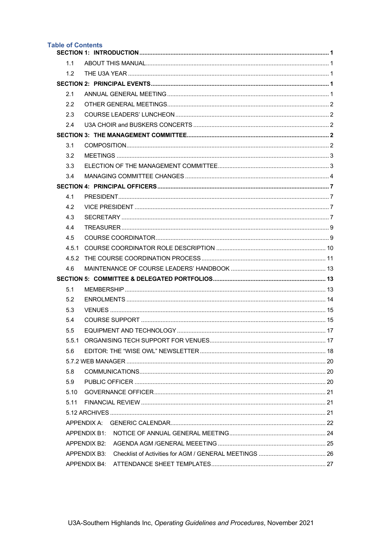| <b>Table of Contents</b> |  |
|--------------------------|--|
|                          |  |
|                          |  |
|                          |  |
|                          |  |
|                          |  |
|                          |  |
|                          |  |
|                          |  |
|                          |  |
|                          |  |
|                          |  |
|                          |  |
|                          |  |
|                          |  |
|                          |  |
|                          |  |
|                          |  |
|                          |  |
| 4.5.1                    |  |
| 4.5.2                    |  |
|                          |  |
|                          |  |
|                          |  |
|                          |  |
|                          |  |
|                          |  |
|                          |  |
| 5.5.1                    |  |
|                          |  |
|                          |  |
|                          |  |
|                          |  |
|                          |  |
|                          |  |
|                          |  |
|                          |  |
|                          |  |
|                          |  |
|                          |  |
|                          |  |
|                          |  |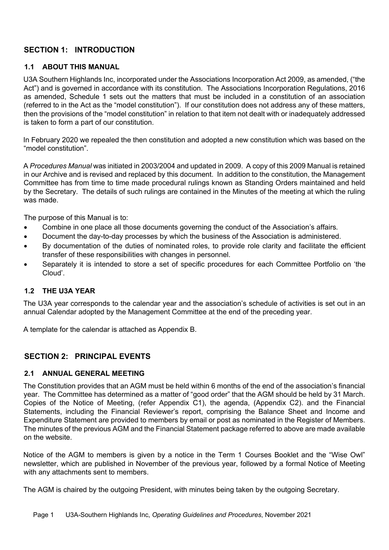# **SECTION 1: INTRODUCTION**

#### **1.1 ABOUT THIS MANUAL**

U3A Southern Highlands Inc, incorporated under the Associations Incorporation Act 2009, as amended, ("the Act") and is governed in accordance with its constitution. The Associations Incorporation Regulations, 2016 as amended, Schedule 1 sets out the matters that must be included in a constitution of an association (referred to in the Act as the "model constitution"). If our constitution does not address any of these matters, then the provisions of the "model constitution" in relation to that item not dealt with or inadequately addressed is taken to form a part of our constitution.

In February 2020 we repealed the then constitution and adopted a new constitution which was based on the "model constitution".

A *Procedures Manual* was initiated in 2003/2004 and updated in 2009. A copy of this 2009 Manual is retained in our Archive and is revised and replaced by this document. In addition to the constitution, the Management Committee has from time to time made procedural rulings known as Standing Orders maintained and held by the Secretary. The details of such rulings are contained in the Minutes of the meeting at which the ruling was made.

The purpose of this Manual is to:

- Combine in one place all those documents governing the conduct of the Association's affairs.
- Document the day-to-day processes by which the business of the Association is administered.
- By documentation of the duties of nominated roles, to provide role clarity and facilitate the efficient transfer of these responsibilities with changes in personnel.
- Separately it is intended to store a set of specific procedures for each Committee Portfolio on 'the Cloud'.

#### **1.2 THE U3A YEAR**

The U3A year corresponds to the calendar year and the association's schedule of activities is set out in an annual Calendar adopted by the Management Committee at the end of the preceding year.

A template for the calendar is attached as Appendix B.

#### **SECTION 2: PRINCIPAL EVENTS**

#### **2.1 ANNUAL GENERAL MEETING**

The Constitution provides that an AGM must be held within 6 months of the end of the association's financial year. The Committee has determined as a matter of "good order" that the AGM should be held by 31 March. Copies of the Notice of Meeting, (refer Appendix C1), the agenda, (Appendix C2). and the Financial Statements, including the Financial Reviewer's report, comprising the Balance Sheet and Income and Expenditure Statement are provided to members by email or post as nominated in the Register of Members. The minutes of the previous AGM and the Financial Statement package referred to above are made available on the website.

Notice of the AGM to members is given by a notice in the Term 1 Courses Booklet and the "Wise Owl" newsletter, which are published in November of the previous year, followed by a formal Notice of Meeting with any attachments sent to members.

The AGM is chaired by the outgoing President, with minutes being taken by the outgoing Secretary.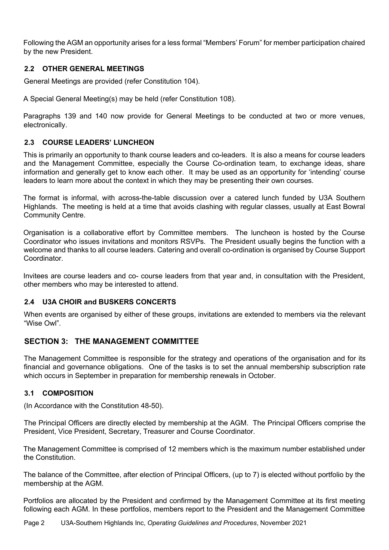Following the AGM an opportunity arises for a less formal "Members' Forum" for member participation chaired by the new President.

#### **2.2 OTHER GENERAL MEETINGS**

General Meetings are provided (refer Constitution 104).

A Special General Meeting(s) may be held (refer Constitution 108).

Paragraphs 139 and 140 now provide for General Meetings to be conducted at two or more venues, electronically.

#### **2.3 COURSE LEADERS' LUNCHEON**

This is primarily an opportunity to thank course leaders and co-leaders. It is also a means for course leaders and the Management Committee, especially the Course Co-ordination team, to exchange ideas, share information and generally get to know each other. It may be used as an opportunity for 'intending' course leaders to learn more about the context in which they may be presenting their own courses.

The format is informal, with across-the-table discussion over a catered lunch funded by U3A Southern Highlands. The meeting is held at a time that avoids clashing with regular classes, usually at East Bowral Community Centre.

Organisation is a collaborative effort by Committee members. The luncheon is hosted by the Course Coordinator who issues invitations and monitors RSVPs. The President usually begins the function with a welcome and thanks to all course leaders. Catering and overall co-ordination is organised by Course Support Coordinator.

Invitees are course leaders and co- course leaders from that year and, in consultation with the President, other members who may be interested to attend.

#### **2.4 U3A CHOIR and BUSKERS CONCERTS**

When events are organised by either of these groups, invitations are extended to members via the relevant "Wise Owl".

#### **SECTION 3: THE MANAGEMENT COMMITTEE**

The Management Committee is responsible for the strategy and operations of the organisation and for its financial and governance obligations. One of the tasks is to set the annual membership subscription rate which occurs in September in preparation for membership renewals in October.

#### **3.1 COMPOSITION**

(In Accordance with the Constitution 48-50).

The Principal Officers are directly elected by membership at the AGM. The Principal Officers comprise the President, Vice President, Secretary, Treasurer and Course Coordinator.

The Management Committee is comprised of 12 members which is the maximum number established under the Constitution.

The balance of the Committee, after election of Principal Officers, (up to 7) is elected without portfolio by the membership at the AGM.

Portfolios are allocated by the President and confirmed by the Management Committee at its first meeting following each AGM. In these portfolios, members report to the President and the Management Committee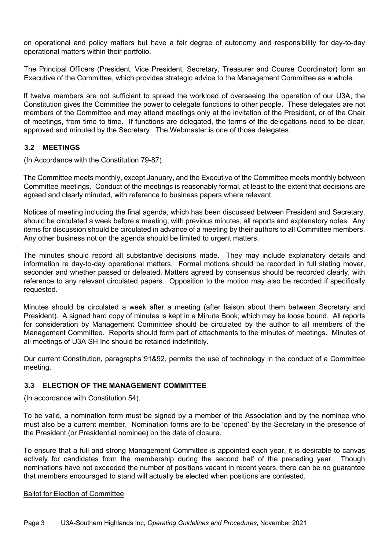on operational and policy matters but have a fair degree of autonomy and responsibility for day-to-day operational matters within their portfolio.

The Principal Officers (President, Vice President, Secretary, Treasurer and Course Coordinator) form an Executive of the Committee, which provides strategic advice to the Management Committee as a whole.

If twelve members are not sufficient to spread the workload of overseeing the operation of our U3A, the Constitution gives the Committee the power to delegate functions to other people. These delegates are not members of the Committee and may attend meetings only at the invitation of the President, or of the Chair of meetings, from time to time. If functions are delegated, the terms of the delegations need to be clear, approved and minuted by the Secretary. The Webmaster is one of those delegates.

#### **3.2 MEETINGS**

(In Accordance with the Constitution 79-87).

The Committee meets monthly, except January, and the Executive of the Committee meets monthly between Committee meetings. Conduct of the meetings is reasonably formal, at least to the extent that decisions are agreed and clearly minuted, with reference to business papers where relevant.

Notices of meeting including the final agenda, which has been discussed between President and Secretary, should be circulated a week before a meeting, with previous minutes, all reports and explanatory notes. Any items for discussion should be circulated in advance of a meeting by their authors to all Committee members. Any other business not on the agenda should be limited to urgent matters.

The minutes should record all substantive decisions made. They may include explanatory details and information re day-to-day operational matters. Formal motions should be recorded in full stating mover, seconder and whether passed or defeated. Matters agreed by consensus should be recorded clearly, with reference to any relevant circulated papers. Opposition to the motion may also be recorded if specifically requested.

Minutes should be circulated a week after a meeting (after liaison about them between Secretary and President). A signed hard copy of minutes is kept in a Minute Book, which may be loose bound. All reports for consideration by Management Committee should be circulated by the author to all members of the Management Committee. Reports should form part of attachments to the minutes of meetings. Minutes of all meetings of U3A SH Inc should be retained indefinitely.

Our current Constitution, paragraphs 91&92, permits the use of technology in the conduct of a Committee meeting.

#### **3.3 ELECTION OF THE MANAGEMENT COMMITTEE**

(In accordance with Constitution 54).

To be valid, a nomination form must be signed by a member of the Association and by the nominee who must also be a current member. Nomination forms are to be 'opened' by the Secretary in the presence of the President (or Presidential nominee) on the date of closure.

To ensure that a full and strong Management Committee is appointed each year, it is desirable to canvas actively for candidates from the membership during the second half of the preceding year. Though nominations have not exceeded the number of positions vacant in recent years, there can be no guarantee that members encouraged to stand will actually be elected when positions are contested.

#### Ballot for Election of Committee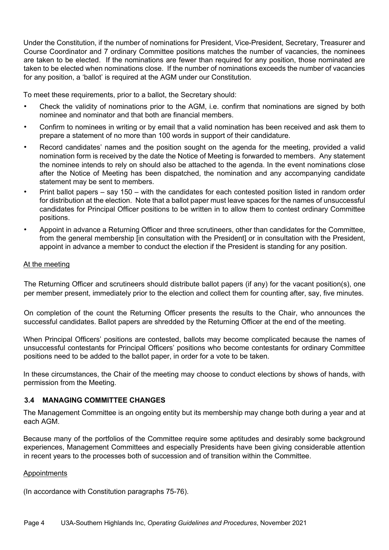Under the Constitution, if the number of nominations for President, Vice-President, Secretary, Treasurer and Course Coordinator and 7 ordinary Committee positions matches the number of vacancies, the nominees are taken to be elected. If the nominations are fewer than required for any position, those nominated are taken to be elected when nominations close. If the number of nominations exceeds the number of vacancies for any position, a 'ballot' is required at the AGM under our Constitution.

To meet these requirements, prior to a ballot, the Secretary should:

- Check the validity of nominations prior to the AGM, i.e. confirm that nominations are signed by both nominee and nominator and that both are financial members.
- Confirm to nominees in writing or by email that a valid nomination has been received and ask them to prepare a statement of no more than 100 words in support of their candidature.
- Record candidates' names and the position sought on the agenda for the meeting, provided a valid nomination form is received by the date the Notice of Meeting is forwarded to members. Any statement the nominee intends to rely on should also be attached to the agenda. In the event nominations close after the Notice of Meeting has been dispatched, the nomination and any accompanying candidate statement may be sent to members.
- Print ballot papers say 150 with the candidates for each contested position listed in random order for distribution at the election. Note that a ballot paper must leave spaces for the names of unsuccessful candidates for Principal Officer positions to be written in to allow them to contest ordinary Committee positions.
- Appoint in advance a Returning Officer and three scrutineers, other than candidates for the Committee, from the general membership [in consultation with the President] or in consultation with the President, appoint in advance a member to conduct the election if the President is standing for any position.

#### At the meeting

The Returning Officer and scrutineers should distribute ballot papers (if any) for the vacant position(s), one per member present, immediately prior to the election and collect them for counting after, say, five minutes.

On completion of the count the Returning Officer presents the results to the Chair, who announces the successful candidates. Ballot papers are shredded by the Returning Officer at the end of the meeting.

When Principal Officers' positions are contested, ballots may become complicated because the names of unsuccessful contestants for Principal Officers' positions who become contestants for ordinary Committee positions need to be added to the ballot paper, in order for a vote to be taken.

In these circumstances, the Chair of the meeting may choose to conduct elections by shows of hands, with permission from the Meeting.

#### **3.4 MANAGING COMMITTEE CHANGES**

The Management Committee is an ongoing entity but its membership may change both during a year and at each AGM.

Because many of the portfolios of the Committee require some aptitudes and desirably some background experiences, Management Committees and especially Presidents have been giving considerable attention in recent years to the processes both of succession and of transition within the Committee.

#### Appointments

(In accordance with Constitution paragraphs 75-76).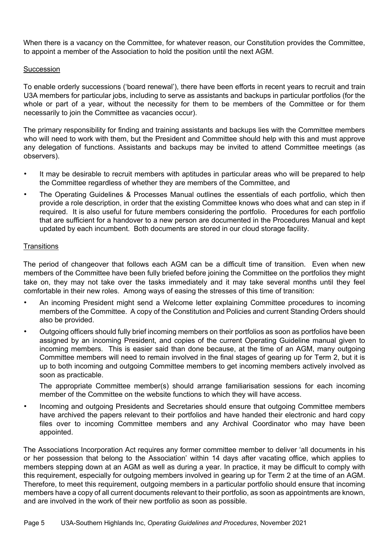When there is a vacancy on the Committee, for whatever reason, our Constitution provides the Committee, to appoint a member of the Association to hold the position until the next AGM.

#### **Succession**

To enable orderly successions ('board renewal'), there have been efforts in recent years to recruit and train U3A members for particular jobs, including to serve as assistants and backups in particular portfolios (for the whole or part of a year, without the necessity for them to be members of the Committee or for them necessarily to join the Committee as vacancies occur).

The primary responsibility for finding and training assistants and backups lies with the Committee members who will need to work with them, but the President and Committee should help with this and must approve any delegation of functions. Assistants and backups may be invited to attend Committee meetings (as observers).

- It may be desirable to recruit members with aptitudes in particular areas who will be prepared to help the Committee regardless of whether they are members of the Committee, and
- The Operating Guidelines & Processes Manual outlines the essentials of each portfolio, which then provide a role description, in order that the existing Committee knows who does what and can step in if required. It is also useful for future members considering the portfolio. Procedures for each portfolio that are sufficient for a handover to a new person are documented in the Procedures Manual and kept updated by each incumbent. Both documents are stored in our cloud storage facility.

#### **Transitions**

The period of changeover that follows each AGM can be a difficult time of transition. Even when new members of the Committee have been fully briefed before joining the Committee on the portfolios they might take on, they may not take over the tasks immediately and it may take several months until they feel comfortable in their new roles. Among ways of easing the stresses of this time of transition:

- An incoming President might send a Welcome letter explaining Committee procedures to incoming members of the Committee. A copy of the Constitution and Policies and current Standing Orders should also be provided.
- Outgoing officers should fully brief incoming members on their portfolios as soon as portfolios have been assigned by an incoming President, and copies of the current Operating Guideline manual given to incoming members. This is easier said than done because, at the time of an AGM, many outgoing Committee members will need to remain involved in the final stages of gearing up for Term 2, but it is up to both incoming and outgoing Committee members to get incoming members actively involved as soon as practicable.

The appropriate Committee member(s) should arrange familiarisation sessions for each incoming member of the Committee on the website functions to which they will have access.

• Incoming and outgoing Presidents and Secretaries should ensure that outgoing Committee members have archived the papers relevant to their portfolios and have handed their electronic and hard copy files over to incoming Committee members and any Archival Coordinator who may have been appointed.

The Associations Incorporation Act requires any former committee member to deliver 'all documents in his or her possession that belong to the Association' within 14 days after vacating office, which applies to members stepping down at an AGM as well as during a year. In practice, it may be difficult to comply with this requirement, especially for outgoing members involved in gearing up for Term 2 at the time of an AGM. Therefore, to meet this requirement, outgoing members in a particular portfolio should ensure that incoming members have a copy of all current documents relevant to their portfolio, as soon as appointments are known, and are involved in the work of their new portfolio as soon as possible.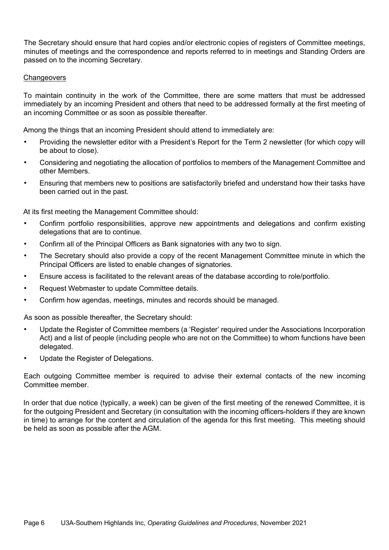The Secretary should ensure that hard copies and/or electronic copies of registers of Committee meetings, minutes of meetings and the correspondence and reports referred to in meetings and Standing Orders are passed on to the incoming Secretary.

#### **Changeovers**

To maintain continuity in the work of the Committee, there are some matters that must be addressed immediately by an incoming President and others that need to be addressed formally at the first meeting of an incoming Committee or as soon as possible thereafter.

Among the things that an incoming President should attend to immediately are:

- Providing the newsletter editor with a President's Report for the Term 2 newsletter (for which copy will be about to close).
- Considering and negotiating the allocation of portfolios to members of the Management Committee and other Members.
- Ensuring that members new to positions are satisfactorily briefed and understand how their tasks have been carried out in the past.

At its first meeting the Management Committee should:

- Confirm portfolio responsibilities, approve new appointments and delegations and confirm existing delegations that are to continue.
- Confirm all of the Principal Officers as Bank signatories with any two to sign.
- The Secretary should also provide a copy of the recent Management Committee minute in which the Principal Officers are listed to enable changes of signatories.
- Ensure access is facilitated to the relevant areas of the database according to role/portfolio.
- Request Webmaster to update Committee details.
- Confirm how agendas, meetings, minutes and records should be managed.

As soon as possible thereafter, the Secretary should:

- Update the Register of Committee members (a 'Register' required under the Associations Incorporation Act) and a list of people (including people who are not on the Committee) to whom functions have been delegated.
- Update the Register of Delegations.

Each outgoing Committee member is required to advise their external contacts of the new incoming Committee member.

In order that due notice (typically, a week) can be given of the first meeting of the renewed Committee, it is for the outgoing President and Secretary (in consultation with the incoming officers-holders if they are known in time) to arrange for the content and circulation of the agenda for this first meeting. This meeting should be held as soon as possible after the AGM.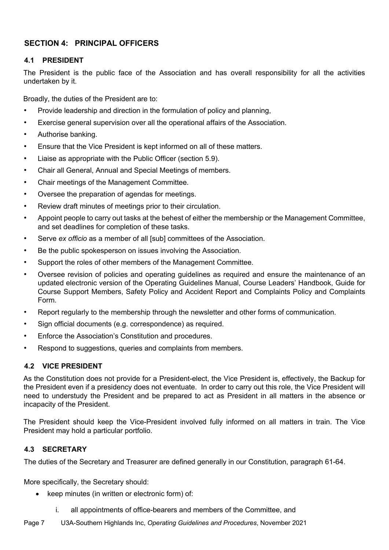# **SECTION 4: PRINCIPAL OFFICERS**

#### **4.1 PRESIDENT**

The President is the public face of the Association and has overall responsibility for all the activities undertaken by it.

Broadly, the duties of the President are to:

- Provide leadership and direction in the formulation of policy and planning,
- Exercise general supervision over all the operational affairs of the Association.
- Authorise banking.
- Ensure that the Vice President is kept informed on all of these matters.
- Liaise as appropriate with the Public Officer (section 5.9).
- Chair all General, Annual and Special Meetings of members.
- Chair meetings of the Management Committee.
- Oversee the preparation of agendas for meetings.
- Review draft minutes of meetings prior to their circulation.
- Appoint people to carry out tasks at the behest of either the membership or the Management Committee, and set deadlines for completion of these tasks.
- Serve *ex officio* as a member of all [sub] committees of the Association.
- Be the public spokesperson on issues involving the Association.
- Support the roles of other members of the Management Committee.
- Oversee revision of policies and operating guidelines as required and ensure the maintenance of an updated electronic version of the Operating Guidelines Manual, Course Leaders' Handbook, Guide for Course Support Members, Safety Policy and Accident Report and Complaints Policy and Complaints Form.
- Report regularly to the membership through the newsletter and other forms of communication.
- Sign official documents (e.g. correspondence) as required.
- Enforce the Association's Constitution and procedures.
- Respond to suggestions, queries and complaints from members.

#### **4.2 VICE PRESIDENT**

As the Constitution does not provide for a President-elect, the Vice President is, effectively, the Backup for the President even if a presidency does not eventuate. In order to carry out this role, the Vice President will need to understudy the President and be prepared to act as President in all matters in the absence or incapacity of the President.

The President should keep the Vice-President involved fully informed on all matters in train. The Vice President may hold a particular portfolio.

#### **4.3 SECRETARY**

The duties of the Secretary and Treasurer are defined generally in our Constitution, paragraph 61-64.

More specifically, the Secretary should:

- keep minutes (in written or electronic form) of:
	- i. all appointments of office-bearers and members of the Committee, and
- Page 7 U3A-Southern Highlands Inc, *Operating Guidelines and Procedures*, November 2021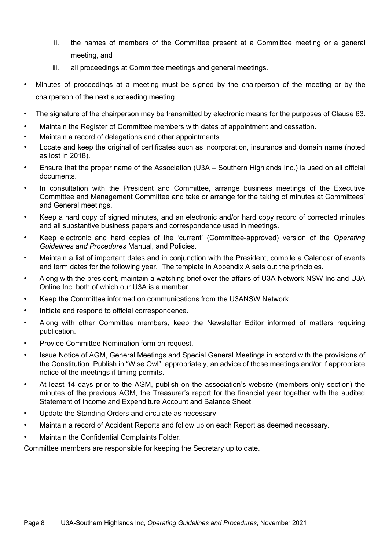- ii. the names of members of the Committee present at a Committee meeting or a general meeting, and
- iii. all proceedings at Committee meetings and general meetings.
- Minutes of proceedings at a meeting must be signed by the chairperson of the meeting or by the chairperson of the next succeeding meeting.
- The signature of the chairperson may be transmitted by electronic means for the purposes of Clause 63.
- Maintain the Register of Committee members with dates of appointment and cessation.
- Maintain a record of delegations and other appointments.
- Locate and keep the original of certificates such as incorporation, insurance and domain name (noted as lost in 2018).
- Ensure that the proper name of the Association (U3A Southern Highlands Inc.) is used on all official documents.
- In consultation with the President and Committee, arrange business meetings of the Executive Committee and Management Committee and take or arrange for the taking of minutes at Committees' and General meetings.
- Keep a hard copy of signed minutes, and an electronic and/or hard copy record of corrected minutes and all substantive business papers and correspondence used in meetings.
- Keep electronic and hard copies of the 'current' (Committee-approved) version of the *Operating Guidelines and Procedures* Manual, and Policies.
- Maintain a list of important dates and in conjunction with the President, compile a Calendar of events and term dates for the following year. The template in Appendix A sets out the principles.
- Along with the president, maintain a watching brief over the affairs of U3A Network NSW Inc and U3A Online Inc, both of which our U3A is a member.
- Keep the Committee informed on communications from the U3ANSW Network.
- Initiate and respond to official correspondence.
- Along with other Committee members, keep the Newsletter Editor informed of matters requiring publication.
- Provide Committee Nomination form on request.
- Issue Notice of AGM, General Meetings and Special General Meetings in accord with the provisions of the Constitution. Publish in "Wise Owl", appropriately, an advice of those meetings and/or if appropriate notice of the meetings if timing permits.
- At least 14 days prior to the AGM, publish on the association's website (members only section) the minutes of the previous AGM, the Treasurer's report for the financial year together with the audited Statement of Income and Expenditure Account and Balance Sheet.
- Update the Standing Orders and circulate as necessary.
- Maintain a record of Accident Reports and follow up on each Report as deemed necessary.
- Maintain the Confidential Complaints Folder.

Committee members are responsible for keeping the Secretary up to date.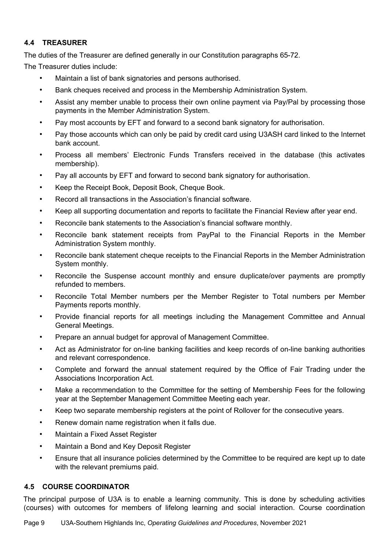# **4.4 TREASURER**

The duties of the Treasurer are defined generally in our Constitution paragraphs 65-72.

The Treasurer duties include:

- Maintain a list of bank signatories and persons authorised.
- Bank cheques received and process in the Membership Administration System.
- Assist any member unable to process their own online payment via Pay/Pal by processing those payments in the Member Administration System.
- Pay most accounts by EFT and forward to a second bank signatory for authorisation.
- Pay those accounts which can only be paid by credit card using U3ASH card linked to the Internet bank account.
- Process all members' Electronic Funds Transfers received in the database (this activates membership).
- Pay all accounts by EFT and forward to second bank signatory for authorisation.
- Keep the Receipt Book, Deposit Book, Cheque Book.
- Record all transactions in the Association's financial software.
- Keep all supporting documentation and reports to facilitate the Financial Review after year end.
- Reconcile bank statements to the Association's financial software monthly.
- Reconcile bank statement receipts from PayPal to the Financial Reports in the Member Administration System monthly.
- Reconcile bank statement cheque receipts to the Financial Reports in the Member Administration System monthly.
- Reconcile the Suspense account monthly and ensure duplicate/over payments are promptly refunded to members.
- Reconcile Total Member numbers per the Member Register to Total numbers per Member Payments reports monthly.
- Provide financial reports for all meetings including the Management Committee and Annual General Meetings.
- Prepare an annual budget for approval of Management Committee.
- Act as Administrator for on-line banking facilities and keep records of on-line banking authorities and relevant correspondence.
- Complete and forward the annual statement required by the Office of Fair Trading under the Associations Incorporation Act.
- Make a recommendation to the Committee for the setting of Membership Fees for the following year at the September Management Committee Meeting each year.
- Keep two separate membership registers at the point of Rollover for the consecutive years.
- Renew domain name registration when it falls due.
- Maintain a Fixed Asset Register
- Maintain a Bond and Key Deposit Register
- Ensure that all insurance policies determined by the Committee to be required are kept up to date with the relevant premiums paid.

#### **4.5 COURSE COORDINATOR**

The principal purpose of U3A is to enable a learning community. This is done by scheduling activities (courses) with outcomes for members of lifelong learning and social interaction. Course coordination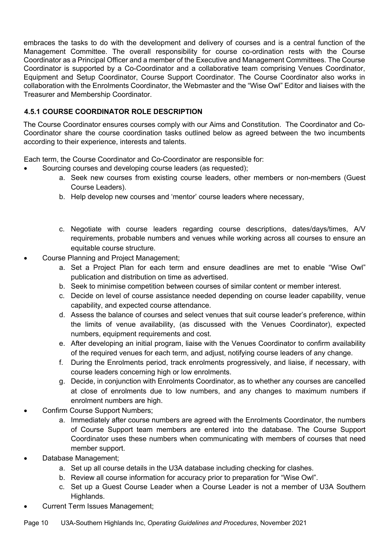embraces the tasks to do with the development and delivery of courses and is a central function of the Management Committee. The overall responsibility for course co-ordination rests with the Course Coordinator as a Principal Officer and a member of the Executive and Management Committees. The Course Coordinator is supported by a Co-Coordinator and a collaborative team comprising Venues Coordinator, Equipment and Setup Coordinator, Course Support Coordinator. The Course Coordinator also works in collaboration with the Enrolments Coordinator, the Webmaster and the "Wise Owl" Editor and liaises with the Treasurer and Membership Coordinator.

# **4.5.1 COURSE COORDINATOR ROLE DESCRIPTION**

The Course Coordinator ensures courses comply with our Aims and Constitution. The Coordinator and Co-Coordinator share the course coordination tasks outlined below as agreed between the two incumbents according to their experience, interests and talents.

Each term, the Course Coordinator and Co-Coordinator are responsible for:

- Sourcing courses and developing course leaders (as requested);
	- a. Seek new courses from existing course leaders, other members or non-members (Guest Course Leaders).
	- b. Help develop new courses and 'mentor' course leaders where necessary,
	- c. Negotiate with course leaders regarding course descriptions, dates/days/times, A/V requirements, probable numbers and venues while working across all courses to ensure an equitable course structure.
- Course Planning and Project Management;
	- a. Set a Project Plan for each term and ensure deadlines are met to enable "Wise Owl" publication and distribution on time as advertised.
	- b. Seek to minimise competition between courses of similar content or member interest.
	- c. Decide on level of course assistance needed depending on course leader capability, venue capability, and expected course attendance.
	- d. Assess the balance of courses and select venues that suit course leader's preference, within the limits of venue availability, (as discussed with the Venues Coordinator), expected numbers, equipment requirements and cost.
	- e. After developing an initial program, liaise with the Venues Coordinator to confirm availability of the required venues for each term, and adjust, notifying course leaders of any change.
	- f. During the Enrolments period, track enrolments progressively, and liaise, if necessary, with course leaders concerning high or low enrolments.
	- g. Decide, in conjunction with Enrolments Coordinator, as to whether any courses are cancelled at close of enrolments due to low numbers, and any changes to maximum numbers if enrolment numbers are high.
- Confirm Course Support Numbers;
	- a. Immediately after course numbers are agreed with the Enrolments Coordinator, the numbers of Course Support team members are entered into the database. The Course Support Coordinator uses these numbers when communicating with members of courses that need member support.
- Database Management;
	- a. Set up all course details in the U3A database including checking for clashes.
	- b. Review all course information for accuracy prior to preparation for "Wise Owl".
	- c. Set up a Guest Course Leader when a Course Leader is not a member of U3A Southern Highlands.
- Current Term Issues Management;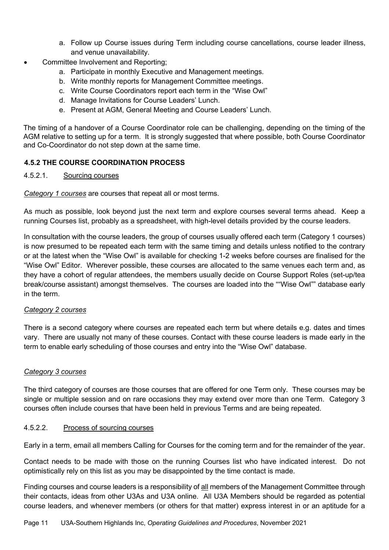- a. Follow up Course issues during Term including course cancellations, course leader illness, and venue unavailability.
- Committee Involvement and Reporting;
	- a. Participate in monthly Executive and Management meetings.
	- b. Write monthly reports for Management Committee meetings.
	- c. Write Course Coordinators report each term in the "Wise Owl"
	- d. Manage Invitations for Course Leaders' Lunch.
	- e. Present at AGM, General Meeting and Course Leaders' Lunch.

The timing of a handover of a Course Coordinator role can be challenging, depending on the timing of the AGM relative to setting up for a term. It is strongly suggested that where possible, both Course Coordinator and Co-Coordinator do not step down at the same time.

#### **4.5.2 THE COURSE COORDINATION PROCESS**

#### 4.5.2.1. Sourcing courses

*Category 1 courses* are courses that repeat all or most terms.

As much as possible, look beyond just the next term and explore courses several terms ahead. Keep a running Courses list, probably as a spreadsheet, with high-level details provided by the course leaders.

In consultation with the course leaders, the group of courses usually offered each term (Category 1 courses) is now presumed to be repeated each term with the same timing and details unless notified to the contrary or at the latest when the "Wise Owl" is available for checking 1-2 weeks before courses are finalised for the "Wise Owl" Editor. Wherever possible, these courses are allocated to the same venues each term and, as they have a cohort of regular attendees, the members usually decide on Course Support Roles (set-up/tea break/course assistant) amongst themselves. The courses are loaded into the ""Wise Owl"" database early in the term.

#### *Category 2 courses*

There is a second category where courses are repeated each term but where details e.g. dates and times vary. There are usually not many of these courses. Contact with these course leaders is made early in the term to enable early scheduling of those courses and entry into the "Wise Owl" database.

#### *Category 3 courses*

The third category of courses are those courses that are offered for one Term only. These courses may be single or multiple session and on rare occasions they may extend over more than one Term. Category 3 courses often include courses that have been held in previous Terms and are being repeated.

#### 4.5.2.2. Process of sourcing courses

Early in a term, email all members Calling for Courses for the coming term and for the remainder of the year.

Contact needs to be made with those on the running Courses list who have indicated interest. Do not optimistically rely on this list as you may be disappointed by the time contact is made.

Finding courses and course leaders is a responsibility of all members of the Management Committee through their contacts, ideas from other U3As and U3A online. All U3A Members should be regarded as potential course leaders, and whenever members (or others for that matter) express interest in or an aptitude for a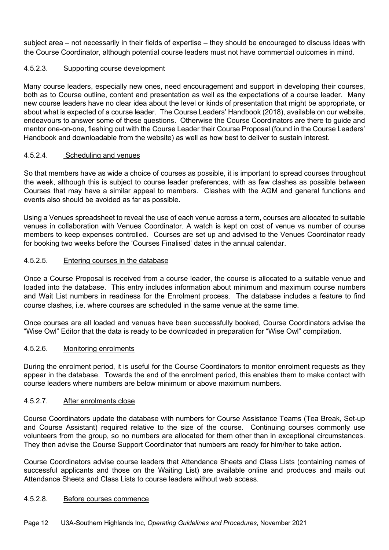subject area – not necessarily in their fields of expertise – they should be encouraged to discuss ideas with the Course Coordinator, although potential course leaders must not have commercial outcomes in mind.

#### 4.5.2.3. Supporting course development

Many course leaders, especially new ones, need encouragement and support in developing their courses, both as to Course outline, content and presentation as well as the expectations of a course leader. Many new course leaders have no clear idea about the level or kinds of presentation that might be appropriate, or about what is expected of a course leader. The Course Leaders' Handbook (2018), available on our website, endeavours to answer some of these questions. Otherwise the Course Coordinators are there to guide and mentor one-on-one, fleshing out with the Course Leader their Course Proposal (found in the Course Leaders' Handbook and downloadable from the website) as well as how best to deliver to sustain interest.

#### 4.5.2.4. Scheduling and venues

So that members have as wide a choice of courses as possible, it is important to spread courses throughout the week, although this is subject to course leader preferences, with as few clashes as possible between Courses that may have a similar appeal to members. Clashes with the AGM and general functions and events also should be avoided as far as possible.

Using a Venues spreadsheet to reveal the use of each venue across a term, courses are allocated to suitable venues in collaboration with Venues Coordinator. A watch is kept on cost of venue vs number of course members to keep expenses controlled. Courses are set up and advised to the Venues Coordinator ready for booking two weeks before the 'Courses Finalised' dates in the annual calendar.

#### 4.5.2.5. Entering courses in the database

Once a Course Proposal is received from a course leader, the course is allocated to a suitable venue and loaded into the database. This entry includes information about minimum and maximum course numbers and Wait List numbers in readiness for the Enrolment process. The database includes a feature to find course clashes, i.e. where courses are scheduled in the same venue at the same time.

Once courses are all loaded and venues have been successfully booked, Course Coordinators advise the "Wise Owl" Editor that the data is ready to be downloaded in preparation for "Wise Owl" compilation.

#### 4.5.2.6. Monitoring enrolments

During the enrolment period, it is useful for the Course Coordinators to monitor enrolment requests as they appear in the database. Towards the end of the enrolment period, this enables them to make contact with course leaders where numbers are below minimum or above maximum numbers.

## 4.5.2.7. After enrolments close

Course Coordinators update the database with numbers for Course Assistance Teams (Tea Break, Set-up and Course Assistant) required relative to the size of the course. Continuing courses commonly use volunteers from the group, so no numbers are allocated for them other than in exceptional circumstances. They then advise the Course Support Coordinator that numbers are ready for him/her to take action.

Course Coordinators advise course leaders that Attendance Sheets and Class Lists (containing names of successful applicants and those on the Waiting List) are available online and produces and mails out Attendance Sheets and Class Lists to course leaders without web access.

#### 4.5.2.8. Before courses commence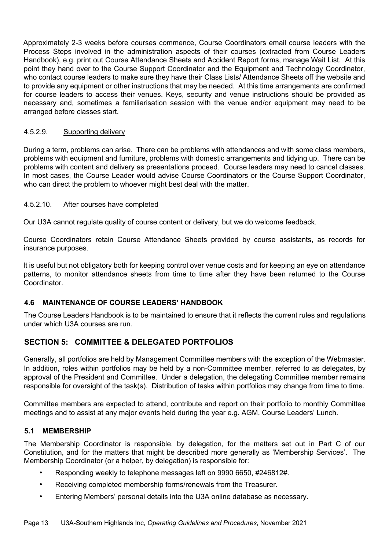Approximately 2-3 weeks before courses commence, Course Coordinators email course leaders with the Process Steps involved in the administration aspects of their courses (extracted from Course Leaders Handbook), e.g. print out Course Attendance Sheets and Accident Report forms, manage Wait List. At this point they hand over to the Course Support Coordinator and the Equipment and Technology Coordinator, who contact course leaders to make sure they have their Class Lists/ Attendance Sheets off the website and to provide any equipment or other instructions that may be needed. At this time arrangements are confirmed for course leaders to access their venues. Keys, security and venue instructions should be provided as necessary and, sometimes a familiarisation session with the venue and/or equipment may need to be arranged before classes start.

#### 4.5.2.9. Supporting delivery

During a term, problems can arise. There can be problems with attendances and with some class members, problems with equipment and furniture, problems with domestic arrangements and tidying up. There can be problems with content and delivery as presentations proceed. Course leaders may need to cancel classes. In most cases, the Course Leader would advise Course Coordinators or the Course Support Coordinator, who can direct the problem to whoever might best deal with the matter.

#### 4.5.2.10. After courses have completed

Our U3A cannot regulate quality of course content or delivery, but we do welcome feedback.

Course Coordinators retain Course Attendance Sheets provided by course assistants, as records for insurance purposes.

It is useful but not obligatory both for keeping control over venue costs and for keeping an eye on attendance patterns, to monitor attendance sheets from time to time after they have been returned to the Course Coordinator.

#### **4.6 MAINTENANCE OF COURSE LEADERS' HANDBOOK**

The Course Leaders Handbook is to be maintained to ensure that it reflects the current rules and regulations under which U3A courses are run.

# **SECTION 5: COMMITTEE & DELEGATED PORTFOLIOS**

Generally, all portfolios are held by Management Committee members with the exception of the Webmaster. In addition, roles within portfolios may be held by a non-Committee member, referred to as delegates, by approval of the President and Committee. Under a delegation, the delegating Committee member remains responsible for oversight of the task(s). Distribution of tasks within portfolios may change from time to time.

Committee members are expected to attend, contribute and report on their portfolio to monthly Committee meetings and to assist at any major events held during the year e.g. AGM, Course Leaders' Lunch.

#### **5.1 MEMBERSHIP**

The Membership Coordinator is responsible, by delegation, for the matters set out in Part C of our Constitution, and for the matters that might be described more generally as 'Membership Services'. The Membership Coordinator (or a helper, by delegation) is responsible for:

- Responding weekly to telephone messages left on 9990 6650, #246812#.
- Receiving completed membership forms/renewals from the Treasurer.
- Entering Members' personal details into the U3A online database as necessary.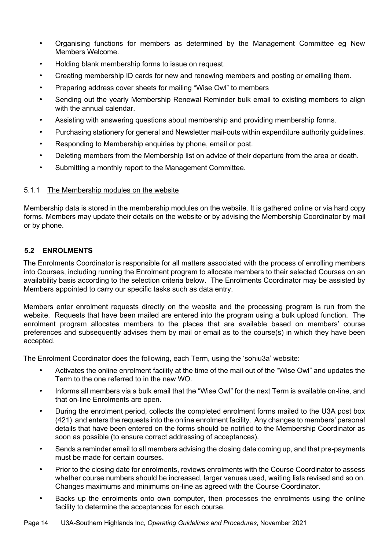- Organising functions for members as determined by the Management Committee eg New Members Welcome.
- Holding blank membership forms to issue on request.
- Creating membership ID cards for new and renewing members and posting or emailing them.
- Preparing address cover sheets for mailing "Wise Owl" to members
- Sending out the yearly Membership Renewal Reminder bulk email to existing members to align with the annual calendar.
- Assisting with answering questions about membership and providing membership forms.
- Purchasing stationery for general and Newsletter mail-outs within expenditure authority guidelines.
- Responding to Membership enquiries by phone, email or post.
- Deleting members from the Membership list on advice of their departure from the area or death.
- Submitting a monthly report to the Management Committee.

#### 5.1.1 The Membership modules on the website

Membership data is stored in the membership modules on the website. It is gathered online or via hard copy forms. Members may update their details on the website or by advising the Membership Coordinator by mail or by phone.

#### **5.2 ENROLMENTS**

The Enrolments Coordinator is responsible for all matters associated with the process of enrolling members into Courses, including running the Enrolment program to allocate members to their selected Courses on an availability basis according to the selection criteria below. The Enrolments Coordinator may be assisted by Members appointed to carry our specific tasks such as data entry.

Members enter enrolment requests directly on the website and the processing program is run from the website. Requests that have been mailed are entered into the program using a bulk upload function. The enrolment program allocates members to the places that are available based on members' course preferences and subsequently advises them by mail or email as to the course(s) in which they have been accepted.

The Enrolment Coordinator does the following, each Term, using the 'sohiu3a' website:

- Activates the online enrolment facility at the time of the mail out of the "Wise Owl" and updates the Term to the one referred to in the new WO.
- Informs all members via a bulk email that the "Wise Owl" for the next Term is available on-line, and that on-line Enrolments are open.
- During the enrolment period, collects the completed enrolment forms mailed to the U3A post box (421) and enters the requests into the online enrolment facility. Any changes to members' personal details that have been entered on the forms should be notified to the Membership Coordinator as soon as possible (to ensure correct addressing of acceptances).
- Sends a reminder email to all members advising the closing date coming up, and that pre-payments must be made for certain courses.
- Prior to the closing date for enrolments, reviews enrolments with the Course Coordinator to assess whether course numbers should be increased, larger venues used, waiting lists revised and so on. Changes maximums and minimums on-line as agreed with the Course Coordinator.
- Backs up the enrolments onto own computer, then processes the enrolments using the online facility to determine the acceptances for each course.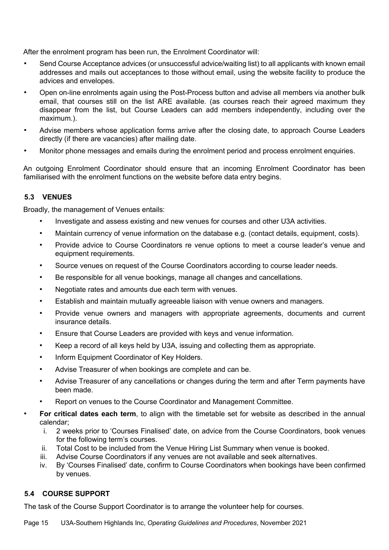After the enrolment program has been run, the Enrolment Coordinator will:

- Send Course Acceptance advices (or unsuccessful advice/waiting list) to all applicants with known email addresses and mails out acceptances to those without email, using the website facility to produce the advices and envelopes.
- Open on-line enrolments again using the Post-Process button and advise all members via another bulk email, that courses still on the list ARE available. (as courses reach their agreed maximum they disappear from the list, but Course Leaders can add members independently, including over the maximum.).
- Advise members whose application forms arrive after the closing date, to approach Course Leaders directly (if there are vacancies) after mailing date.
- Monitor phone messages and emails during the enrolment period and process enrolment enquiries.

An outgoing Enrolment Coordinator should ensure that an incoming Enrolment Coordinator has been familiarised with the enrolment functions on the website before data entry begins.

#### **5.3 VENUES**

Broadly, the management of Venues entails:

- Investigate and assess existing and new venues for courses and other U3A activities.
- Maintain currency of venue information on the database e.g. (contact details, equipment, costs).
- Provide advice to Course Coordinators re venue options to meet a course leader's venue and equipment requirements.
- Source venues on request of the Course Coordinators according to course leader needs.
- Be responsible for all venue bookings, manage all changes and cancellations.
- Negotiate rates and amounts due each term with venues.
- Establish and maintain mutually agreeable liaison with venue owners and managers.
- Provide venue owners and managers with appropriate agreements, documents and current insurance details.
- Ensure that Course Leaders are provided with keys and venue information.
- Keep a record of all keys held by U3A, issuing and collecting them as appropriate.
- Inform Equipment Coordinator of Key Holders.
- Advise Treasurer of when bookings are complete and can be.
- Advise Treasurer of any cancellations or changes during the term and after Term payments have been made.
- Report on venues to the Course Coordinator and Management Committee.
- **For critical dates each term**, to align with the timetable set for website as described in the annual calendar;
	- i. 2 weeks prior to 'Courses Finalised' date, on advice from the Course Coordinators, book venues for the following term's courses.
	- ii. Total Cost to be included from the Venue Hiring List Summary when venue is booked.
	- iii. Advise Course Coordinators if any venues are not available and seek alternatives.
	- iv. By 'Courses Finalised' date, confirm to Course Coordinators when bookings have been confirmed by venues.

#### **5.4 COURSE SUPPORT**

The task of the Course Support Coordinator is to arrange the volunteer help for courses.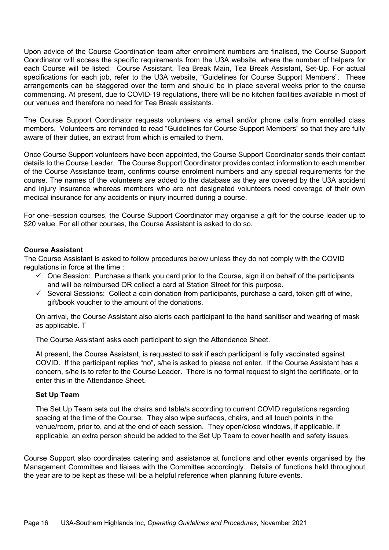Upon advice of the Course Coordination team after enrolment numbers are finalised, the Course Support Coordinator will access the specific requirements from the U3A website, where the number of helpers for each Course will be listed: Course Assistant, Tea Break Main, Tea Break Assistant, Set-Up. For actual specifications for each job, refer to the U3A website, "Guidelines for Course Support Members". These arrangements can be staggered over the term and should be in place several weeks prior to the course commencing. At present, due to COVID-19 regulations, there will be no kitchen facilities available in most of our venues and therefore no need for Tea Break assistants.

The Course Support Coordinator requests volunteers via email and/or phone calls from enrolled class members. Volunteers are reminded to read "Guidelines for Course Support Members" so that they are fully aware of their duties, an extract from which is emailed to them.

Once Course Support volunteers have been appointed, the Course Support Coordinator sends their contact details to the Course Leader. The Course Support Coordinator provides contact information to each member of the Course Assistance team, confirms course enrolment numbers and any special requirements for the course. The names of the volunteers are added to the database as they are covered by the U3A accident and injury insurance whereas members who are not designated volunteers need coverage of their own medical insurance for any accidents or injury incurred during a course.

For one–session courses, the Course Support Coordinator may organise a gift for the course leader up to \$20 value. For all other courses, the Course Assistant is asked to do so.

#### **Course Assistant**

The Course Assistant is asked to follow procedures below unless they do not comply with the COVID regulations in force at the time :

- $\checkmark$  One Session: Purchase a thank you card prior to the Course, sign it on behalf of the participants and will be reimbursed OR collect a card at Station Street for this purpose.
- $\checkmark$  Several Sessions: Collect a coin donation from participants, purchase a card, token gift of wine, gift/book voucher to the amount of the donations.

On arrival, the Course Assistant also alerts each participant to the hand sanitiser and wearing of mask as applicable. T

The Course Assistant asks each participant to sign the Attendance Sheet.

At present, the Course Assistant, is requested to ask if each participant is fully vaccinated against COVID. If the participant replies "no", s/he is asked to please not enter. If the Course Assistant has a concern, s/he is to refer to the Course Leader. There is no formal request to sight the certificate, or to enter this in the Attendance Sheet.

#### **Set Up Team**

The Set Up Team sets out the chairs and table/s according to current COVID regulations regarding spacing at the time of the Course. They also wipe surfaces, chairs, and all touch points in the venue/room, prior to, and at the end of each session. They open/close windows, if applicable. If applicable, an extra person should be added to the Set Up Team to cover health and safety issues.

Course Support also coordinates catering and assistance at functions and other events organised by the Management Committee and liaises with the Committee accordingly. Details of functions held throughout the year are to be kept as these will be a helpful reference when planning future events.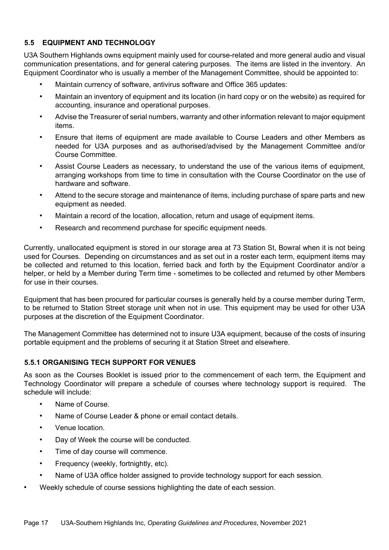#### **5.5 EQUIPMENT AND TECHNOLOGY**

U3A Southern Highlands owns equipment mainly used for course-related and more general audio and visual communication presentations, and for general catering purposes. The items are listed in the inventory. An Equipment Coordinator who is usually a member of the Management Committee, should be appointed to:

- Maintain currency of software, antivirus software and Office 365 updates:
- Maintain an inventory of equipment and its location (in hard copy or on the website) as required for accounting, insurance and operational purposes.
- Advise the Treasurer of serial numbers, warranty and other information relevant to major equipment items.
- Ensure that items of equipment are made available to Course Leaders and other Members as needed for U3A purposes and as authorised/advised by the Management Committee and/or Course Committee.
- Assist Course Leaders as necessary, to understand the use of the various items of equipment, arranging workshops from time to time in consultation with the Course Coordinator on the use of hardware and software.
- Attend to the secure storage and maintenance of items, including purchase of spare parts and new equipment as needed.
- Maintain a record of the location, allocation, return and usage of equipment items.
- Research and recommend purchase for specific equipment needs.

Currently, unallocated equipment is stored in our storage area at 73 Station St, Bowral when it is not being used for Courses. Depending on circumstances and as set out in a roster each term, equipment items may be collected and returned to this location, ferried back and forth by the Equipment Coordinator and/or a helper, or held by a Member during Term time - sometimes to be collected and returned by other Members for use in their courses.

Equipment that has been procured for particular courses is generally held by a course member during Term, to be returned to Station Street storage unit when not in use. This equipment may be used for other U3A purposes at the discretion of the Equipment Coordinator.

The Management Committee has determined not to insure U3A equipment, because of the costs of insuring portable equipment and the problems of securing it at Station Street and elsewhere.

#### **5.5.1 ORGANISING TECH SUPPORT FOR VENUES**

As soon as the Courses Booklet is issued prior to the commencement of each term, the Equipment and Technology Coordinator will prepare a schedule of courses where technology support is required. The schedule will include:

- Name of Course.
- Name of Course Leader & phone or email contact details.
- Venue location.
- Day of Week the course will be conducted.
- Time of day course will commence.
- Frequency (weekly, fortnightly, etc).
- Name of U3A office holder assigned to provide technology support for each session.
- Weekly schedule of course sessions highlighting the date of each session.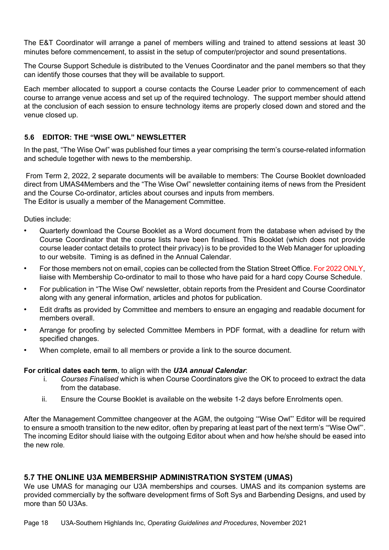The E&T Coordinator will arrange a panel of members willing and trained to attend sessions at least 30 minutes before commencement, to assist in the setup of computer/projector and sound presentations.

The Course Support Schedule is distributed to the Venues Coordinator and the panel members so that they can identify those courses that they will be available to support.

Each member allocated to support a course contacts the Course Leader prior to commencement of each course to arrange venue access and set up of the required technology. The support member should attend at the conclusion of each session to ensure technology items are properly closed down and stored and the venue closed up.

#### **5.6 EDITOR: THE "WISE OWL" NEWSLETTER**

In the past, "The Wise Owl" was published four times a year comprising the term's course-related information and schedule together with news to the membership.

From Term 2, 2022, 2 separate documents will be available to members: The Course Booklet downloaded direct from UMAS4Members and the "The Wise Owl" newsletter containing items of news from the President and the Course Co-ordinator, articles about courses and inputs from members. The Editor is usually a member of the Management Committee.

Duties include:

- Quarterly download the Course Booklet as a Word document from the database when advised by the Course Coordinator that the course lists have been finalised. This Booklet (which does not provide course leader contact details to protect their privacy) is to be provided to the Web Manager for uploading to our website. Timing is as defined in the Annual Calendar.
- For those members not on email, copies can be collected from the Station Street Office. For 2022 ONLY, liaise with Membership Co-ordinator to mail to those who have paid for a hard copy Course Schedule.
- For publication in "The Wise Owl' newsletter, obtain reports from the President and Course Coordinator along with any general information, articles and photos for publication.
- Edit drafts as provided by Committee and members to ensure an engaging and readable document for members overall.
- Arrange for proofing by selected Committee Members in PDF format, with a deadline for return with specified changes.
- When complete, email to all members or provide a link to the source document.

#### **For critical dates each term**, to align with the *U3A annual Calendar*:

- i. *Courses Finalised* which is when Course Coordinators give the OK to proceed to extract the data from the database.
- ii. Ensure the Course Booklet is available on the website 1-2 days before Enrolments open.

After the Management Committee changeover at the AGM, the outgoing '"Wise Owl"' Editor will be required to ensure a smooth transition to the new editor, often by preparing at least part of the next term's '"Wise Owl"'. The incoming Editor should liaise with the outgoing Editor about when and how he/she should be eased into the new role.

#### **5.7 THE ONLINE U3A MEMBERSHIP ADMINISTRATION SYSTEM (UMAS)**

We use UMAS for managing our U3A memberships and courses. UMAS and its companion systems are provided commercially by the software development firms of Soft Sys and Barbending Designs, and used by more than 50 U3As.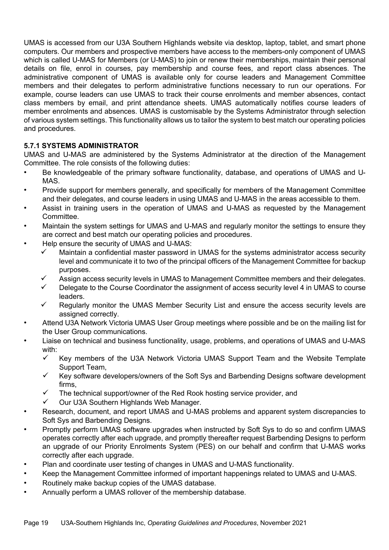UMAS is accessed from our U3A Southern Highlands website via desktop, laptop, tablet, and smart phone computers. Our members and prospective members have access to the members-only component of UMAS which is called U-MAS for Members (or U-MAS) to join or renew their memberships, maintain their personal details on file, enrol in courses, pay membership and course fees, and report class absences. The administrative component of UMAS is available only for course leaders and Management Committee members and their delegates to perform administrative functions necessary to run our operations. For example, course leaders can use UMAS to track their course enrolments and member absences, contact class members by email, and print attendance sheets. UMAS automatically notifies course leaders of member enrolments and absences. UMAS is customisable by the Systems Administrator through selection of various system settings. This functionality allows us to tailor the system to best match our operating policies and procedures.

#### **5.7.1 SYSTEMS ADMINISTRATOR**

UMAS and U-MAS are administered by the Systems Administrator at the direction of the Management Committee. The role consists of the following duties:

- Be knowledgeable of the primary software functionality, database, and operations of UMAS and U-MAS.
- Provide support for members generally, and specifically for members of the Management Committee and their delegates, and course leaders in using UMAS and U-MAS in the areas accessible to them.
- Assist in training users in the operation of UMAS and U-MAS as requested by the Management Committee.
- Maintain the system settings for UMAS and U-MAS and regularly monitor the settings to ensure they are correct and best match our operating policies and procedures.
- Help ensure the security of UMAS and U-MAS:
	- $\checkmark$  Maintain a confidential master password in UMAS for the systems administrator access security level and communicate it to two of the principal officers of the Management Committee for backup purposes.
	- Assign access security levels in UMAS to Management Committee members and their delegates.
	- Delegate to the Course Coordinator the assignment of access security level 4 in UMAS to course leaders.
	- $\checkmark$  Regularly monitor the UMAS Member Security List and ensure the access security levels are assigned correctly.
- Attend U3A Network Victoria UMAS User Group meetings where possible and be on the mailing list for the User Group communications.
- Liaise on technical and business functionality, usage, problems, and operations of UMAS and U-MAS with:
	- $\checkmark$  Key members of the U3A Network Victoria UMAS Support Team and the Website Template Support Team,
	- $\checkmark$  Key software developers/owners of the Soft Sys and Barbending Designs software development firms,
	- $\checkmark$  The technical support/owner of the Red Rook hosting service provider, and
	- ü Our U3A Southern Highlands Web Manager.
- Research, document, and report UMAS and U-MAS problems and apparent system discrepancies to Soft Sys and Barbending Designs.
- Promptly perform UMAS software upgrades when instructed by Soft Sys to do so and confirm UMAS operates correctly after each upgrade, and promptly thereafter request Barbending Designs to perform an upgrade of our Priority Enrolments System (PES) on our behalf and confirm that U-MAS works correctly after each upgrade.
- Plan and coordinate user testing of changes in UMAS and U-MAS functionality.
- Keep the Management Committee informed of important happenings related to UMAS and U-MAS.
- Routinely make backup copies of the UMAS database.
- Annually perform a UMAS rollover of the membership database.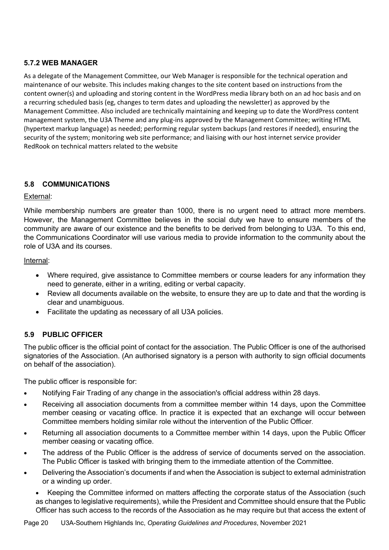# **5.7.2 WEB MANAGER**

As a delegate of the Management Committee, our Web Manager is responsible for the technical operation and maintenance of our website. This includes making changes to the site content based on instructions from the content owner(s) and uploading and storing content in the WordPress media library both on an ad hoc basis and on a recurring scheduled basis (eg, changes to term dates and uploading the newsletter) as approved by the Management Committee. Also included are technically maintaining and keeping up to date the WordPress content management system, the U3A Theme and any plug-ins approved by the Management Committee; writing HTML (hypertext markup language) as needed; performing regular system backups (and restores if needed), ensuring the security of the system; monitoring web site performance; and liaising with our host internet service provider RedRook on technical matters related to the website

# **5.8 COMMUNICATIONS**

#### External:

While membership numbers are greater than 1000, there is no urgent need to attract more members. However, the Management Committee believes in the social duty we have to ensure members of the community are aware of our existence and the benefits to be derived from belonging to U3A. To this end, the Communications Coordinator will use various media to provide information to the community about the role of U3A and its courses.

#### Internal:

- Where required, give assistance to Committee members or course leaders for any information they need to generate, either in a writing, editing or verbal capacity.
- Review all documents available on the website, to ensure they are up to date and that the wording is clear and unambiguous.
- Facilitate the updating as necessary of all U3A policies.

#### **5.9 PUBLIC OFFICER**

The public officer is the official point of contact for the association. The Public Officer is one of the authorised signatories of the Association. (An authorised signatory is a person with authority to sign official documents on behalf of the association).

The public officer is responsible for:

- Notifying Fair Trading of any change in the association's official address within 28 days.
- Receiving all association documents from a committee member within 14 days, upon the Committee member ceasing or vacating office. In practice it is expected that an exchange will occur between Committee members holding similar role without the intervention of the Public Officer.
- Returning all association documents to a Committee member within 14 days, upon the Public Officer member ceasing or vacating office.
- The address of the Public Officer is the address of service of documents served on the association. The Public Officer is tasked with bringing them to the immediate attention of the Committee.
- Delivering the Association's documents if and when the Association is subject to external administration or a winding up order.
	- Keeping the Committee informed on matters affecting the corporate status of the Association (such as changes to legislative requirements), while the President and Committee should ensure that the Public Officer has such access to the records of the Association as he may require but that access the extent of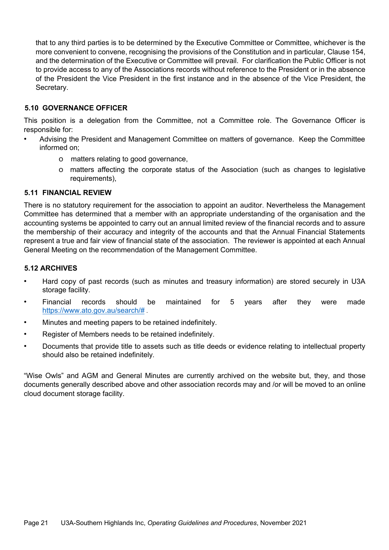that to any third parties is to be determined by the Executive Committee or Committee, whichever is the more convenient to convene, recognising the provisions of the Constitution and in particular, Clause 154, and the determination of the Executive or Committee will prevail. For clarification the Public Officer is not to provide access to any of the Associations records without reference to the President or in the absence of the President the Vice President in the first instance and in the absence of the Vice President, the Secretary.

#### **5.10 GOVERNANCE OFFICER**

This position is a delegation from the Committee, not a Committee role. The Governance Officer is responsible for:

- Advising the President and Management Committee on matters of governance. Keep the Committee informed on;
	- o matters relating to good governance,
	- o matters affecting the corporate status of the Association (such as changes to legislative requirements),

#### **5.11 FINANCIAL REVIEW**

There is no statutory requirement for the association to appoint an auditor. Nevertheless the Management Committee has determined that a member with an appropriate understanding of the organisation and the accounting systems be appointed to carry out an annual limited review of the financial records and to assure the membership of their accuracy and integrity of the accounts and that the Annual Financial Statements represent a true and fair view of financial state of the association. The reviewer is appointed at each Annual General Meeting on the recommendation of the Management Committee.

#### **5.12 ARCHIVES**

- Hard copy of past records (such as minutes and treasury information) are stored securely in U3A storage facility.
- Financial records should be maintained for 5 years after they were made https://www.ato.gov.au/search/# .
- Minutes and meeting papers to be retained indefinitely.
- Register of Members needs to be retained indefinitely.
- Documents that provide title to assets such as title deeds or evidence relating to intellectual property should also be retained indefinitely.

"Wise Owls" and AGM and General Minutes are currently archived on the website but, they, and those documents generally described above and other association records may and /or will be moved to an online cloud document storage facility.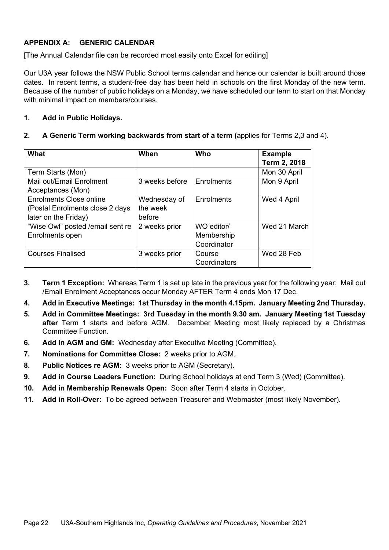# **APPENDIX A: GENERIC CALENDAR**

[The Annual Calendar file can be recorded most easily onto Excel for editing]

Our U3A year follows the NSW Public School terms calendar and hence our calendar is built around those dates. In recent terms, a student-free day has been held in schools on the first Monday of the new term. Because of the number of public holidays on a Monday, we have scheduled our term to start on that Monday with minimal impact on members/courses.

#### **1. Add in Public Holidays.**

#### **2. A Generic Term working backwards from start of a term (**applies for Terms 2,3 and 4).

| What                              | When           | Who          | <b>Example</b> |
|-----------------------------------|----------------|--------------|----------------|
|                                   |                |              | Term 2, 2018   |
| Term Starts (Mon)                 |                |              | Mon 30 April   |
| Mail out/Email Enrolment          | 3 weeks before | Enrolments   | Mon 9 April    |
| Acceptances (Mon)                 |                |              |                |
| Enrolments Close online           | Wednesday of   | Enrolments   | Wed 4 April    |
| (Postal Enrolments close 2 days   | the week       |              |                |
| later on the Friday)              | before         |              |                |
| "Wise Owl" posted / email sent re | 2 weeks prior  | WO editor/   | Wed 21 March   |
| Enrolments open                   |                | Membership   |                |
|                                   |                | Coordinator  |                |
| <b>Courses Finalised</b>          | 3 weeks prior  | Course       | Wed 28 Feb     |
|                                   |                | Coordinators |                |

- **3. Term 1 Exception:** Whereas Term 1 is set up late in the previous year for the following year; Mail out /Email Enrolment Acceptances occur Monday AFTER Term 4 ends Mon 17 Dec.
- **4. Add in Executive Meetings: 1st Thursday in the month 4.15pm. January Meeting 2nd Thursday.**
- **5. Add in Committee Meetings: 3rd Tuesday in the month 9.30 am. January Meeting 1st Tuesday after** Term 1 starts and before AGM. December Meeting most likely replaced by a Christmas Committee Function.
- **6. Add in AGM and GM:** Wednesday after Executive Meeting (Committee).
- **7. Nominations for Committee Close:** 2 weeks prior to AGM.
- **8. Public Notices re AGM:** 3 weeks prior to AGM (Secretary).
- **9. Add in Course Leaders Function:** During School holidays at end Term 3 (Wed) (Committee).
- **10. Add in Membership Renewals Open:** Soon after Term 4 starts in October.
- **11. Add in Roll-Over:** To be agreed between Treasurer and Webmaster (most likely November).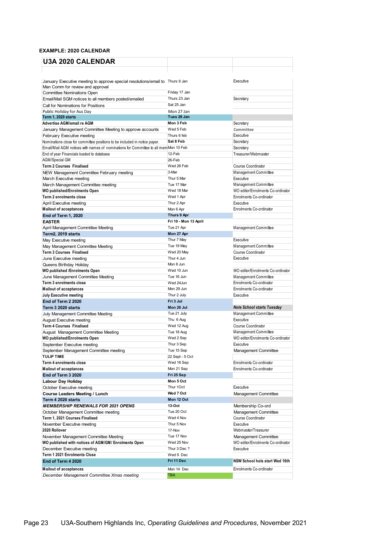#### **EXAMPLE: 2020 CALENDAR**

| <b>U3A 2020 CALENDAR</b>                                                            |                          |                                                    |
|-------------------------------------------------------------------------------------|--------------------------|----------------------------------------------------|
|                                                                                     |                          |                                                    |
|                                                                                     |                          |                                                    |
| January Executive meeting to approve special resolutions/email to Thurs 9 Jan       |                          | Executive                                          |
| Man Comm for review and approval<br><b>Committee Nominations Open</b>               | Friday 17 Jan            |                                                    |
| Email/Mail SGM notices to all members posted/emailed                                | Thurs 23 Jan             | Secretary                                          |
| Call for Nominations for Positions                                                  | Sat 25 Jan               |                                                    |
| Public Holiday for Aus Day                                                          | Mon 27 Jan               |                                                    |
| Term 1, 2020 starts                                                                 | Tues 28 Jan              |                                                    |
| <b>Advertise AGM/email re AGM</b>                                                   | Mon 3 Feb                | Secretary                                          |
| January Management Committee Meeting to approve accounts                            | Wed 5 Feb                | Committee                                          |
| February Executive meeting                                                          | Thurs 6 feb              | Executive                                          |
| Nominations close for committee positions to be included in notice paper.           | Sat 8 Feb                | Secretary                                          |
| Email/Mail AGM notices with names of nominations for Committee to all memMon 10 Feb | 12-Feb                   | Secretary                                          |
| End of year Financials loaded to database<br><b>AGM/Special GM</b>                  | 26-Feb                   | Treasurer/Webmaster                                |
| <b>Term 2 Courses Finalised</b>                                                     | Wed 26 Feb               | Course Coordinator                                 |
| NEW Management Committee February meeting                                           | 3-Mar                    | Management Committee                               |
| March Executive meeting                                                             | Thur 5 Mar               | Executive                                          |
| March Management Committee meeting                                                  | Tue 17 Mar               | Management Committee                               |
| <b>WO published/Enrolments Open</b>                                                 | Wed 18 Mar               | WO editor/Enrolments Co-ordinator                  |
| <b>Term 2 enrolments close</b>                                                      | Wed 1 Apr                | Enrolments Co-ordinator                            |
| April Executive meeting                                                             | Thur 2 Apr               | Executive                                          |
| <b>Mailout of acceptances</b>                                                       | Mon 6 Apr                | Enrolments Co-ordinator                            |
| <b>End of Term 1, 2020</b>                                                          | Thurs 9 Apr              |                                                    |
| <b>EASTER</b>                                                                       | Fri 10 - Mon 13 April    |                                                    |
| April Management Committee Meeting<br>Term2. 2019 starts                            | Tue 21 Apr<br>Mon 27 Apr | Management Committee                               |
| May Executive meeting                                                               | Thur 7 May               | Executive                                          |
| May Management Committee Meeting                                                    | Tue 19 May               | Management Committee                               |
| <b>Term 3 Courses Finalised</b>                                                     | Wed 20 May               | <b>Course Coordinator</b>                          |
| June Executive meeting                                                              | Thur 4 Jun               | Executive                                          |
| Queens Birthday Holiday                                                             | Mon 8 Jun                |                                                    |
| WO published /Enrolments Open                                                       | Wed 10 Jun               | WO editor/Enrolments Co-ordinator                  |
| June Management Committee Meeting                                                   | Tue 16 Jun               | Management Committee                               |
| <b>Term 3 enrolments close</b>                                                      | Wed 24Jun                | Enrolments Co-ordinator                            |
| <b>Mailout of acceptances</b>                                                       | Mon 29 Jun               | Enrolments Co-ordinator                            |
| <b>July Executive meeting</b>                                                       | Thur 2 July<br>Fri 3 Jul | Executive                                          |
| End of Term 2 2020<br>Term 3 2020 starts                                            | Mon 20 Jul               | <b>Note School starts Tuesday</b>                  |
| July Management Committee Meeting                                                   | Tue 21 July              | Management Committee                               |
| August Executive meeting                                                            | Thu 6 Aug                | Executive                                          |
| <b>Term 4 Courses Finalised</b>                                                     | Wed 12 Aug               | Course Coordinator                                 |
| August Management Committee Meeting                                                 | Tue 18 Aug               | Management Committee                               |
| WO published/Enrolments Open                                                        | Wed 2 Sep                | WO editor/Enrolments Co-ordinator                  |
| September Executive meeting                                                         | Thur 3 Sep               | Executive                                          |
| September Management Committee meeting                                              | Tue 15 Sep               | Management Committee                               |
| <b>TULIP TIME</b>                                                                   | 22 Sept - 5 Oct          |                                                    |
| Term 4 enrolments close                                                             | Wed 16 Sep<br>Mon 21 Sep | Enrolments Co-ordinator<br>Enrolments Co-ordinator |
| <b>Mailout of acceptances</b><br>End of Term 3 2020                                 | Fri 25 Sep               |                                                    |
| Labour Day Holiday                                                                  | Mon 5 Oct                |                                                    |
| October Executive meeting                                                           | Thur 1Oct                | Executive                                          |
| <b>Course Leaders Meeting / Lunch</b>                                               | Wed 7 Oct                | Management Committee                               |
| Term 4 2020 starts                                                                  | Mon 12 Oct               |                                                    |
| <b>MEMBERSHIP RENEWALS FOR 2021 OPENS</b>                                           | 13-Oct                   | Membership Co-ord                                  |
| October Management Committee meeting                                                | Tue 20 Oct               | Management Committee                               |
| Term 1, 2021 Courses Finalised                                                      | Wed 4 Nov                | Course Coordinator                                 |
| November Executive meeting                                                          | Thur 5 Nov               | Executive                                          |
| 2020 Rollover                                                                       | 17-Nov                   | Webmaster/Treasurer                                |
| November Management Committee Meeting                                               | Tue 17 Nov<br>Wed 25 Nov | Management Committee                               |
| WO published with notices of AGM/GM/ Enrolments Open<br>December Executive meeting  | Thur 3 Dec ?             | WO editor/Enrolments Co-ordinator<br>Executive     |
| Term 1 2021 Enrolments Close                                                        | Wed 9 Dec                |                                                    |
| End of Term 4 2020                                                                  | Fri 11 Dec               | NSW School hols start Wed 16th                     |
| <b>Mailout of acceptances</b>                                                       | Mon 14 Dec               | Enrolments Co-ordinator                            |
|                                                                                     | TBA                      |                                                    |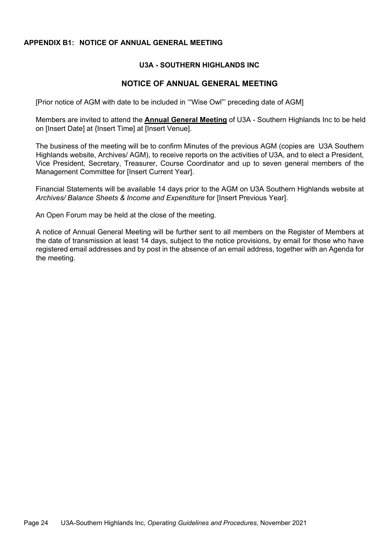#### **APPENDIX B1: NOTICE OF ANNUAL GENERAL MEETING**

#### **U3A - SOUTHERN HIGHLANDS INC**

#### **NOTICE OF ANNUAL GENERAL MEETING**

[Prior notice of AGM with date to be included in '"Wise Owl"' preceding date of AGM]

Members are invited to attend the **Annual General Meeting** of U3A - Southern Highlands Inc to be held on [Insert Date] at {Insert Time] at [Insert Venue].

The business of the meeting will be to confirm Minutes of the previous AGM (copies are U3A Southern Highlands website, Archives/ AGM), to receive reports on the activities of U3A, and to elect a President, Vice President, Secretary, Treasurer, Course Coordinator and up to seven general members of the Management Committee for [Insert Current Year].

Financial Statements will be available 14 days prior to the AGM on U3A Southern Highlands website at *Archives/ Balance Sheets & Income and Expenditure* for [Insert Previous Year].

An Open Forum may be held at the close of the meeting.

A notice of Annual General Meeting will be further sent to all members on the Register of Members at the date of transmission at least 14 days, subject to the notice provisions, by email for those who have registered email addresses and by post in the absence of an email address, together with an Agenda for the meeting.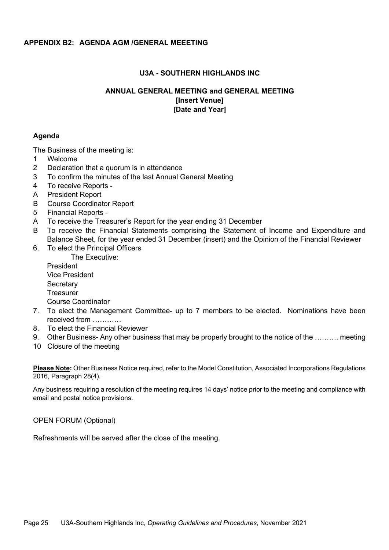#### **APPENDIX B2: AGENDA AGM /GENERAL MEEETING**

#### **U3A - SOUTHERN HIGHLANDS INC**

#### **ANNUAL GENERAL MEETING and GENERAL MEETING [Insert Venue] [Date and Year]**

#### **Agenda**

The Business of the meeting is:

- 1 Welcome
- 2 Declaration that a quorum is in attendance
- 3 To confirm the minutes of the last Annual General Meeting
- 4 To receive Reports -
- A President Report
- B Course Coordinator Report
- 5 Financial Reports -
- A To receive the Treasurer's Report for the year ending 31 December
- B To receive the Financial Statements comprising the Statement of Income and Expenditure and Balance Sheet, for the year ended 31 December (insert) and the Opinion of the Financial Reviewer
- 6. To elect the Principal Officers

The Executive:

President Vice President **Secretary Treasurer** Course Coordinator

- 7. To elect the Management Committee- up to 7 members to be elected. Nominations have been received from …………
- 8. To elect the Financial Reviewer
- 9. Other Business- Any other business that may be properly brought to the notice of the ………. meeting
- 10 Closure of the meeting

**Please Note:** Other Business Notice required, refer to the Model Constitution, Associated Incorporations Regulations 2016, Paragraph 28(4).

Any business requiring a resolution of the meeting requires 14 days' notice prior to the meeting and compliance with email and postal notice provisions.

OPEN FORUM (Optional)

Refreshments will be served after the close of the meeting.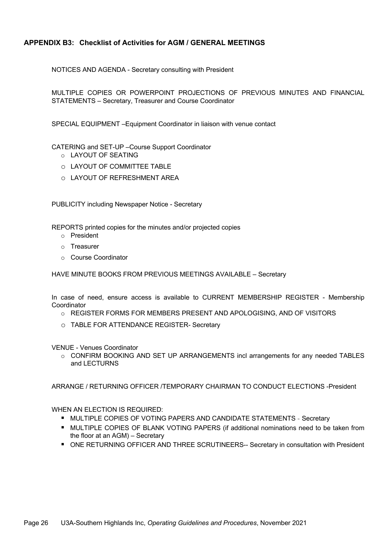#### **APPENDIX B3: Checklist of Activities for AGM / GENERAL MEETINGS**

NOTICES AND AGENDA - Secretary consulting with President

 MULTIPLE COPIES OR POWERPOINT PROJECTIONS OF PREVIOUS MINUTES AND FINANCIAL STATEMENTS – Secretary, Treasurer and Course Coordinator

SPECIAL EQUIPMENT –Equipment Coordinator in liaison with venue contact

CATERING and SET-UP –Course Support Coordinator

- o LAYOUT OF SEATING
- o LAYOUT OF COMMITTEE TABLE
- o LAYOUT OF REFRESHMENT AREA

PUBLICITY including Newspaper Notice - Secretary

REPORTS printed copies for the minutes and/or projected copies

- o President
- o Treasurer
- o Course Coordinator

HAVE MINUTE BOOKS FROM PREVIOUS MEETINGS AVAILABLE – Secretary

 In case of need, ensure access is available to CURRENT MEMBERSHIP REGISTER - Membership Coordinator

- o REGISTER FORMS FOR MEMBERS PRESENT AND APOLOGISING, AND OF VISITORS
- o TABLE FOR ATTENDANCE REGISTER- Secretary

VENUE - Venues Coordinator

o CONFIRM BOOKING AND SET UP ARRANGEMENTS incl arrangements for any needed TABLES and LECTURNS

ARRANGE / RETURNING OFFICER /TEMPORARY CHAIRMAN TO CONDUCT ELECTIONS -President

WHEN AN ELECTION IS REQUIRED:

- **MULTIPLE COPIES OF VOTING PAPERS AND CANDIDATE STATEMENTS Secretary**
- MULTIPLE COPIES OF BLANK VOTING PAPERS (if additional nominations need to be taken from the floor at an AGM) – Secretary
- ONE RETURNING OFFICER AND THREE SCRUTINEERS-- Secretary in consultation with President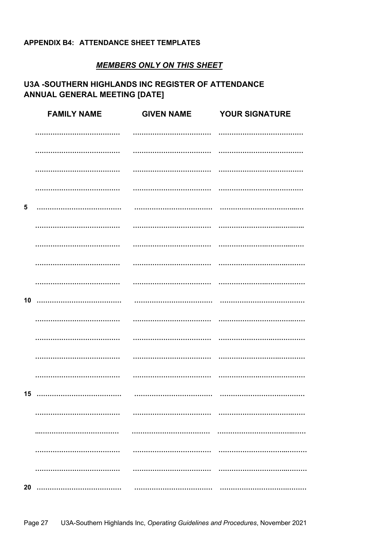#### APPENDIX B4: ATTENDANCE SHEET TEMPLATES

# **MEMBERS ONLY ON THIS SHEET**

# **U3A -SOUTHERN HIGHLANDS INC REGISTER OF ATTENDANCE ANNUAL GENERAL MEETING [DATE]**

|            | <b>FAMILY NAME</b> | <b>GIVEN NAME</b> | <b>YOUR SIGNATURE</b> |
|------------|--------------------|-------------------|-----------------------|
|            |                    |                   |                       |
|            |                    |                   |                       |
|            |                    |                   |                       |
|            |                    | .                 |                       |
| $\sqrt{5}$ |                    |                   |                       |
|            |                    |                   |                       |
|            |                    |                   |                       |
|            |                    |                   |                       |
|            |                    |                   |                       |
| 10         |                    |                   |                       |
|            |                    |                   |                       |
|            |                    | .                 |                       |
|            |                    |                   |                       |
|            | .                  |                   |                       |
|            |                    |                   |                       |
|            |                    |                   |                       |
|            |                    |                   |                       |
|            |                    | .                 |                       |
|            |                    |                   |                       |
| 20         |                    |                   |                       |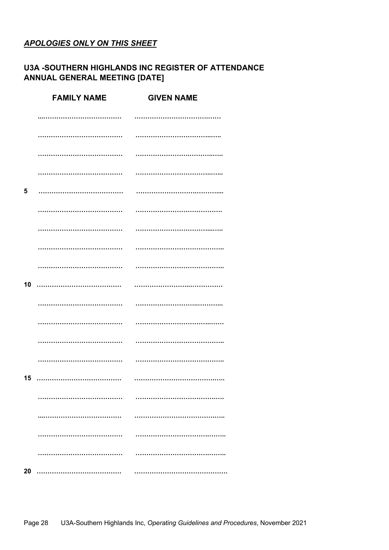# **APOLOGIES ONLY ON THIS SHEET**

# **U3A -SOUTHERN HIGHLANDS INC REGISTER OF ATTENDANCE** ANNUAL GENERAL MEETING [DATE]

|    | <b>FAMILY NAME</b> | <b>GIVEN NAME</b> |
|----|--------------------|-------------------|
|    |                    |                   |
|    | .                  |                   |
|    |                    |                   |
|    |                    |                   |
| 5  | .                  |                   |
|    |                    |                   |
|    |                    |                   |
|    |                    |                   |
|    |                    |                   |
| 10 |                    |                   |
|    |                    |                   |
|    |                    |                   |
|    |                    |                   |
|    |                    |                   |
|    |                    |                   |
|    |                    |                   |
|    |                    |                   |
|    |                    |                   |
|    |                    |                   |
| 20 |                    |                   |